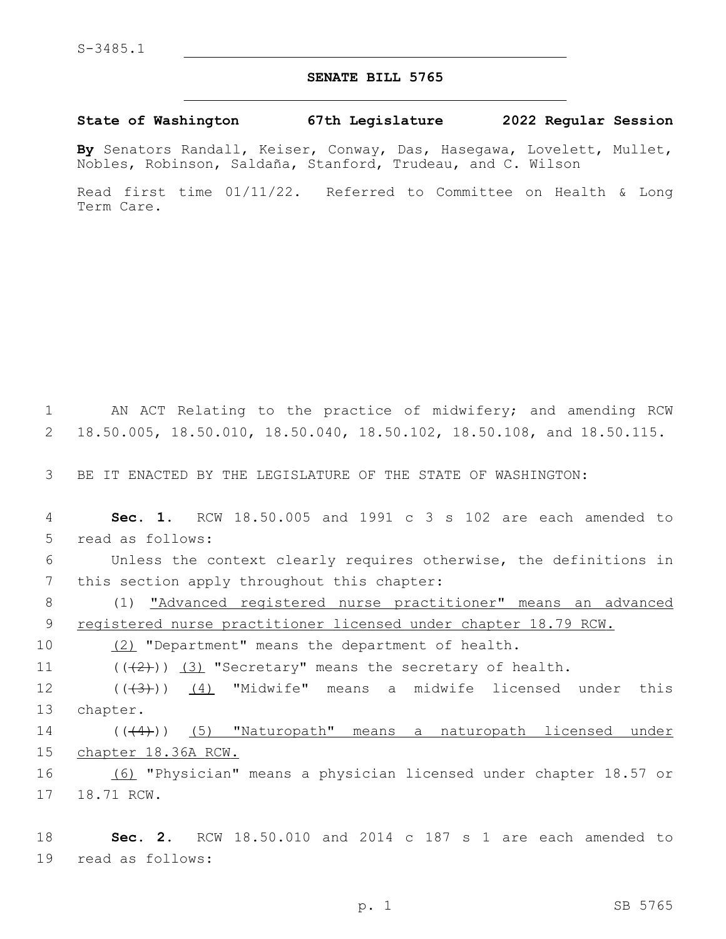## **SENATE BILL 5765**

## **State of Washington 67th Legislature 2022 Regular Session**

**By** Senators Randall, Keiser, Conway, Das, Hasegawa, Lovelett, Mullet, Nobles, Robinson, Saldaña, Stanford, Trudeau, and C. Wilson

Read first time 01/11/22. Referred to Committee on Health & Long Term Care.

1 AN ACT Relating to the practice of midwifery; and amending RCW 2 18.50.005, 18.50.010, 18.50.040, 18.50.102, 18.50.108, and 18.50.115.

3 BE IT ENACTED BY THE LEGISLATURE OF THE STATE OF WASHINGTON:

4 **Sec. 1.** RCW 18.50.005 and 1991 c 3 s 102 are each amended to 5 read as follows:

6 Unless the context clearly requires otherwise, the definitions in 7 this section apply throughout this chapter:

8 (1) "Advanced registered nurse practitioner" means an advanced 9 registered nurse practitioner licensed under chapter 18.79 RCW.

10 (2) "Department" means the department of health.

11  $((+2+))$   $(3)$  "Secretary" means the secretary of health.

12 ((<del>(3)</del>)) <u>(4)</u> "Midwife" means a midwife licensed under this 13 chapter.

14 (((4)) (5) "Naturopath" means a naturopath licensed under 15 chapter 18.36A RCW.

16 (6) "Physician" means a physician licensed under chapter 18.57 or 17 18.71 RCW.

18 **Sec. 2.** RCW 18.50.010 and 2014 c 187 s 1 are each amended to 19 read as follows: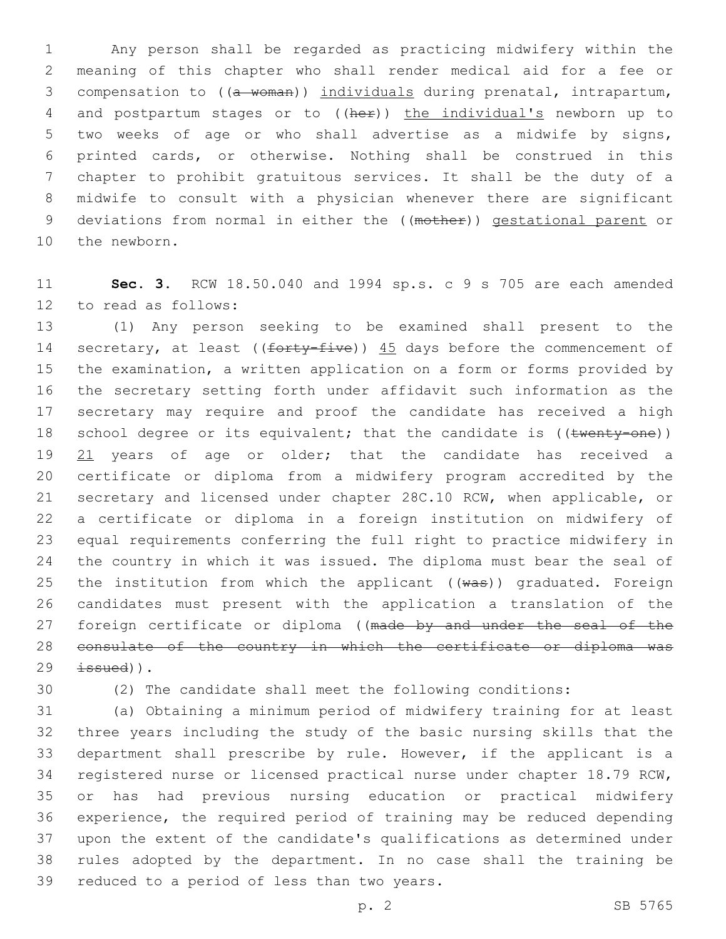Any person shall be regarded as practicing midwifery within the meaning of this chapter who shall render medical aid for a fee or 3 compensation to ((a woman)) individuals during prenatal, intrapartum, 4 and postpartum stages or to ((her)) the individual's newborn up to two weeks of age or who shall advertise as a midwife by signs, printed cards, or otherwise. Nothing shall be construed in this chapter to prohibit gratuitous services. It shall be the duty of a midwife to consult with a physician whenever there are significant deviations from normal in either the ((mother)) gestational parent or 10 the newborn.

 **Sec. 3.** RCW 18.50.040 and 1994 sp.s. c 9 s 705 are each amended 12 to read as follows:

 (1) Any person seeking to be examined shall present to the 14 secretary, at least ((forty-five)) 45 days before the commencement of the examination, a written application on a form or forms provided by the secretary setting forth under affidavit such information as the secretary may require and proof the candidate has received a high 18 school degree or its equivalent; that the candidate is ((twenty-one)) 19 21 years of age or older; that the candidate has received a certificate or diploma from a midwifery program accredited by the secretary and licensed under chapter 28C.10 RCW, when applicable, or a certificate or diploma in a foreign institution on midwifery of equal requirements conferring the full right to practice midwifery in the country in which it was issued. The diploma must bear the seal of 25 the institution from which the applicant  $((wa*)$  graduated. Foreign candidates must present with the application a translation of the 27 foreign certificate or diploma ((made by and under the seal of the consulate of the country in which the certificate or diploma was  $29 \text{ is sued)}$ .

(2) The candidate shall meet the following conditions:

 (a) Obtaining a minimum period of midwifery training for at least three years including the study of the basic nursing skills that the department shall prescribe by rule. However, if the applicant is a registered nurse or licensed practical nurse under chapter 18.79 RCW, or has had previous nursing education or practical midwifery experience, the required period of training may be reduced depending upon the extent of the candidate's qualifications as determined under rules adopted by the department. In no case shall the training be 39 reduced to a period of less than two years.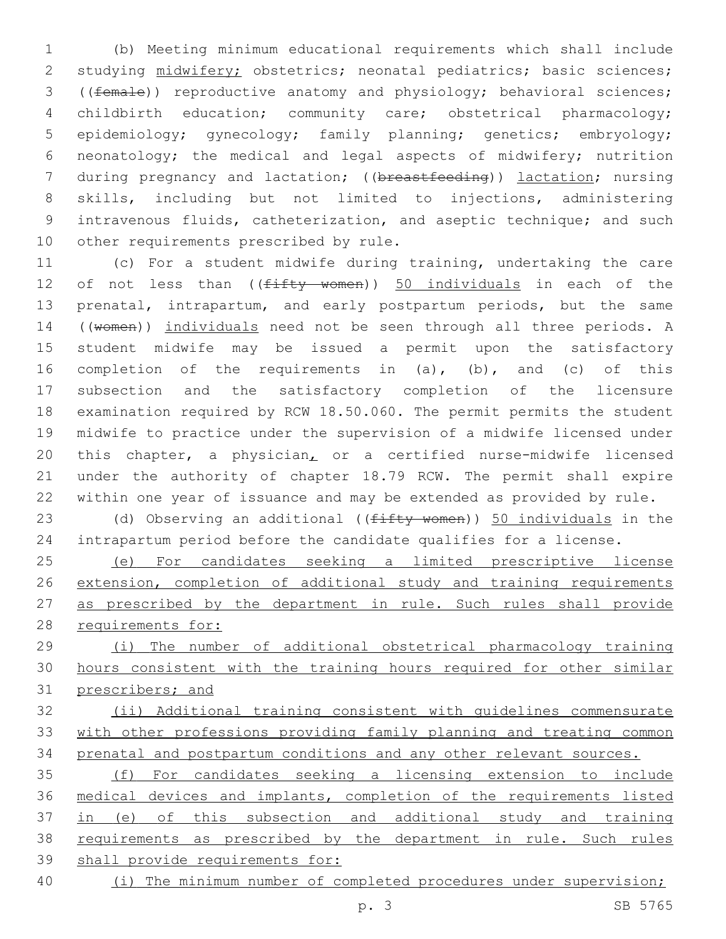(b) Meeting minimum educational requirements which shall include studying midwifery; obstetrics; neonatal pediatrics; basic sciences; ((female)) reproductive anatomy and physiology; behavioral sciences; childbirth education; community care; obstetrical pharmacology; epidemiology; gynecology; family planning; genetics; embryology; neonatology; the medical and legal aspects of midwifery; nutrition 7 during pregnancy and lactation; ((breastfeeding)) lactation; nursing skills, including but not limited to injections, administering intravenous fluids, catheterization, and aseptic technique; and such 10 other requirements prescribed by rule.

 (c) For a student midwife during training, undertaking the care 12 of not less than ((fifty women)) 50 individuals in each of the 13 prenatal, intrapartum, and early postpartum periods, but the same ((women)) individuals need not be seen through all three periods. A student midwife may be issued a permit upon the satisfactory completion of the requirements in (a), (b), and (c) of this subsection and the satisfactory completion of the licensure examination required by RCW 18.50.060. The permit permits the student midwife to practice under the supervision of a midwife licensed under this chapter, a physician, or a certified nurse-midwife licensed under the authority of chapter 18.79 RCW. The permit shall expire within one year of issuance and may be extended as provided by rule.

23 (d) Observing an additional (( $f$ ifty women)) 50 individuals in the intrapartum period before the candidate qualifies for a license.

 (e) For candidates seeking a limited prescriptive license extension, completion of additional study and training requirements 27 as prescribed by the department in rule. Such rules shall provide requirements for:

 (i) The number of additional obstetrical pharmacology training hours consistent with the training hours required for other similar prescribers; and

 (ii) Additional training consistent with guidelines commensurate with other professions providing family planning and treating common prenatal and postpartum conditions and any other relevant sources.

 (f) For candidates seeking a licensing extension to include medical devices and implants, completion of the requirements listed 37 in (e) of this subsection and additional study and training requirements as prescribed by the department in rule. Such rules shall provide requirements for:

40 (i) The minimum number of completed procedures under supervision;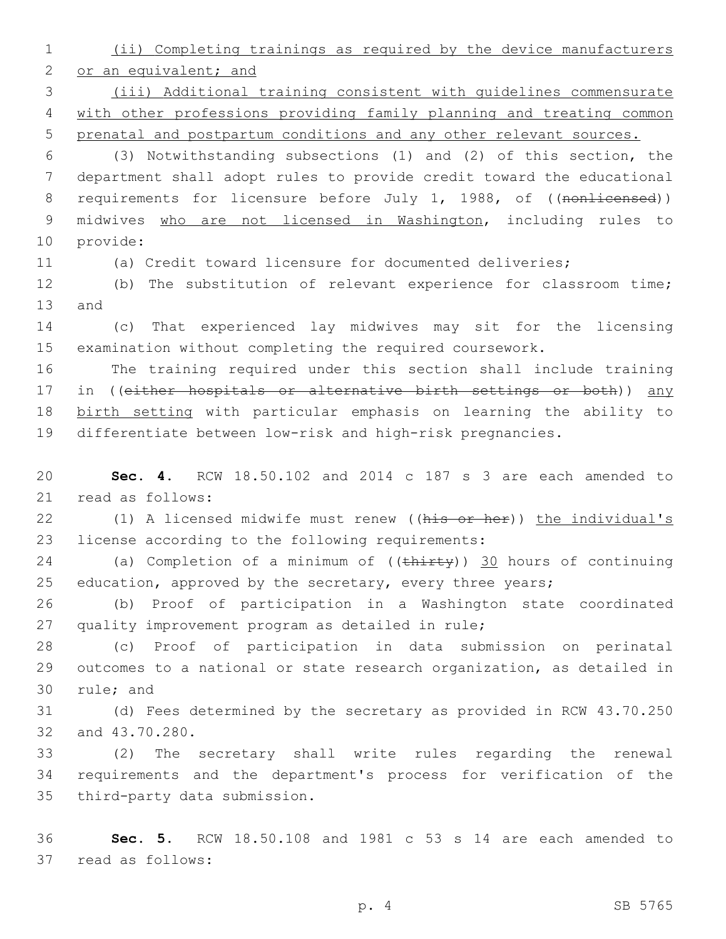1 (ii) Completing trainings as required by the device manufacturers

2 or an equivalent; and

3 (iii) Additional training consistent with guidelines commensurate 4 with other professions providing family planning and treating common 5 prenatal and postpartum conditions and any other relevant sources.

6 (3) Notwithstanding subsections (1) and (2) of this section, the 7 department shall adopt rules to provide credit toward the educational 8 requirements for licensure before July 1, 1988, of ((nonlicensed)) 9 midwives who are not licensed in Washington, including rules to 10 provide:

11 (a) Credit toward licensure for documented deliveries;

12 (b) The substitution of relevant experience for classroom time; 13 and

14 (c) That experienced lay midwives may sit for the licensing 15 examination without completing the required coursework.

 The training required under this section shall include training 17 in ((either hospitals or alternative birth settings or both)) any birth setting with particular emphasis on learning the ability to differentiate between low-risk and high-risk pregnancies.

20 **Sec. 4.** RCW 18.50.102 and 2014 c 187 s 3 are each amended to 21 read as follows:

22 (1) A licensed midwife must renew ((his or her)) the individual's 23 license according to the following requirements:

24 (a) Completion of a minimum of ((thirty)) 30 hours of continuing 25 education, approved by the secretary, every three years;

26 (b) Proof of participation in a Washington state coordinated 27 quality improvement program as detailed in rule;

28 (c) Proof of participation in data submission on perinatal 29 outcomes to a national or state research organization, as detailed in 30 rule; and

31 (d) Fees determined by the secretary as provided in RCW 43.70.250 32 and 43.70.280.

33 (2) The secretary shall write rules regarding the renewal 34 requirements and the department's process for verification of the 35 third-party data submission.

36 **Sec. 5.** RCW 18.50.108 and 1981 c 53 s 14 are each amended to 37 read as follows: